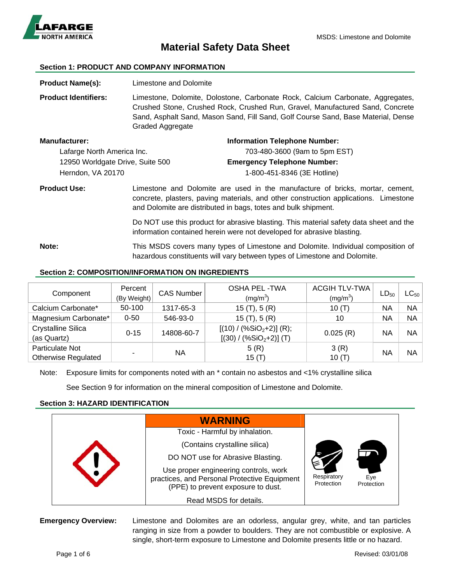

# **Material Safety Data Sheet**

#### **Section 1: PRODUCT AND COMPANY INFORMATION**

**Product Name(s):** Limestone and Dolomite **Product Identifiers:** Limestone, Dolomite, Dolostone, Carbonate Rock, Calcium Carbonate, Aggregates, Crushed Stone, Crushed Rock, Crushed Run, Gravel, Manufactured Sand, Concrete Sand, Asphalt Sand, Mason Sand, Fill Sand, Golf Course Sand, Base Material, Dense Graded Aggregate **Manufacturer: Information Telephone Number:** 

| 703-480-3600 (9am to 5pm EST)      |
|------------------------------------|
|                                    |
| <b>Emergency Telephone Number:</b> |
| 1-800-451-8346 (3E Hotline)        |
|                                    |

**Product Use:** Limestone and Dolomite are used in the manufacture of bricks, mortar, cement, concrete, plasters, paving materials, and other construction applications. Limestone and Dolomite are distributed in bags, totes and bulk shipment.

> Do NOT use this product for abrasive blasting. This material safety data sheet and the information contained herein were not developed for abrasive blasting.

**Note:** This MSDS covers many types of Limestone and Dolomite. Individual composition of hazardous constituents will vary between types of Limestone and Dolomite.

## **Section 2: COMPOSITION/INFORMATION ON INGREDIENTS**

| Component                  | Percent     | <b>CAS Number</b> | <b>OSHA PEL-TWA</b>       | <b>ACGIH TLV-TWA</b> | $LD_{50}$ | $\mathsf{LC}_{50}$ |
|----------------------------|-------------|-------------------|---------------------------|----------------------|-----------|--------------------|
|                            | (By Weight) |                   | (mg/m <sup>3</sup> )      | (mg/m <sup>3</sup> ) |           |                    |
| Calcium Carbonate*         | 50-100      | 1317-65-3         | 15(T), 5(R)               | 10(T)                | NA        | <b>NA</b>          |
| Magnesium Carbonate*       | $0 - 50$    | 546-93-0          | 15(T), 5(R)               | 10                   | NA        | <b>NA</b>          |
| <b>Crystalline Silica</b>  |             |                   | $[(10) / (%SiO2+2)] (R);$ |                      |           | <b>NA</b>          |
| (as Quartz)                | $0 - 15$    | 14808-60-7        | $[(30) / (\%SiO2+2)]$ (T) | 0.025(R)             | NA        |                    |
| Particulate Not            |             |                   | 5(R)                      | 3(R)                 |           |                    |
| <b>Otherwise Regulated</b> |             | <b>NA</b>         | 15 $(T)$                  | 10(T)                | NA        | <b>NA</b>          |

Note: Exposure limits for components noted with an \* contain no asbestos and <1% crystalline silica

See Section 9 for information on the mineral composition of Limestone and Dolomite.

## **Section 3: HAZARD IDENTIFICATION**

|  | <b>WARNING</b>                                                                                                              |                           |                   |
|--|-----------------------------------------------------------------------------------------------------------------------------|---------------------------|-------------------|
|  | Toxic - Harmful by inhalation.                                                                                              |                           |                   |
|  | (Contains crystalline silica)                                                                                               |                           |                   |
|  | DO NOT use for Abrasive Blasting.                                                                                           |                           |                   |
|  | Use proper engineering controls, work<br>practices, and Personal Protective Equipment<br>(PPE) to prevent exposure to dust. | Respiratory<br>Protection | Eye<br>Protection |
|  | Read MSDS for details.                                                                                                      |                           |                   |

**Emergency Overview:** Limestone and Dolomites are an odorless, angular grey, white, and tan particles ranging in size from a powder to boulders. They are not combustible or explosive. A single, short-term exposure to Limestone and Dolomite presents little or no hazard.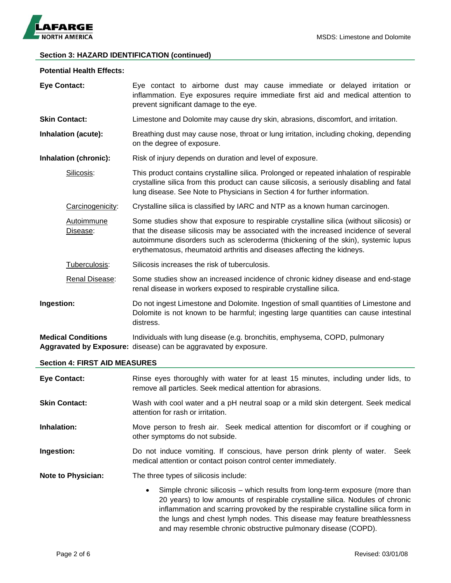

## **Section 3: HAZARD IDENTIFICATION (continued)**

#### **Potential Health Effects:**

| <b>Eye Contact:</b>        | Eye contact to airborne dust may cause immediate or delayed irritation or<br>inflammation. Eye exposures require immediate first aid and medical attention to<br>prevent significant damage to the eye.                                                                                                                                         |
|----------------------------|-------------------------------------------------------------------------------------------------------------------------------------------------------------------------------------------------------------------------------------------------------------------------------------------------------------------------------------------------|
| <b>Skin Contact:</b>       | Limestone and Dolomite may cause dry skin, abrasions, discomfort, and irritation.                                                                                                                                                                                                                                                               |
| <b>Inhalation (acute):</b> | Breathing dust may cause nose, throat or lung irritation, including choking, depending<br>on the degree of exposure.                                                                                                                                                                                                                            |
| Inhalation (chronic):      | Risk of injury depends on duration and level of exposure.                                                                                                                                                                                                                                                                                       |
| Silicosis:                 | This product contains crystalline silica. Prolonged or repeated inhalation of respirable<br>crystalline silica from this product can cause silicosis, a seriously disabling and fatal<br>lung disease. See Note to Physicians in Section 4 for further information.                                                                             |
| Carcinogenicity:           | Crystalline silica is classified by IARC and NTP as a known human carcinogen.                                                                                                                                                                                                                                                                   |
| Autoimmune<br>Disease:     | Some studies show that exposure to respirable crystalline silica (without silicosis) or<br>that the disease silicosis may be associated with the increased incidence of several<br>autoimmune disorders such as scleroderma (thickening of the skin), systemic lupus<br>erythematosus, rheumatoid arthritis and diseases affecting the kidneys. |
| Tuberculosis:              | Silicosis increases the risk of tuberculosis.                                                                                                                                                                                                                                                                                                   |
| Renal Disease:             | Some studies show an increased incidence of chronic kidney disease and end-stage<br>renal disease in workers exposed to respirable crystalline silica.                                                                                                                                                                                          |
| Ingestion:                 | Do not ingest Limestone and Dolomite. Ingestion of small quantities of Limestone and<br>Dolomite is not known to be harmful; ingesting large quantities can cause intestinal<br>distress.                                                                                                                                                       |
| <b>Medical Conditions</b>  | Individuals with lung disease (e.g. bronchitis, emphysema, COPD, pulmonary<br>Aggravated by Exposure: disease) can be aggravated by exposure.                                                                                                                                                                                                   |

#### **Section 4: FIRST AID MEASURES**

| <b>Eye Contact:</b>       | Rinse eyes thoroughly with water for at least 15 minutes, including under lids, to<br>remove all particles. Seek medical attention for abrasions.                                                                                                                                                                                                                                                          |  |  |
|---------------------------|------------------------------------------------------------------------------------------------------------------------------------------------------------------------------------------------------------------------------------------------------------------------------------------------------------------------------------------------------------------------------------------------------------|--|--|
| <b>Skin Contact:</b>      | Wash with cool water and a pH neutral soap or a mild skin detergent. Seek medical<br>attention for rash or irritation.                                                                                                                                                                                                                                                                                     |  |  |
| Inhalation:               | Move person to fresh air. Seek medical attention for discomfort or if coughing or<br>other symptoms do not subside.                                                                                                                                                                                                                                                                                        |  |  |
| Ingestion:                | Do not induce vomiting. If conscious, have person drink plenty of water. Seek<br>medical attention or contact poison control center immediately.                                                                                                                                                                                                                                                           |  |  |
| <b>Note to Physician:</b> | The three types of silicosis include:                                                                                                                                                                                                                                                                                                                                                                      |  |  |
|                           | Simple chronic silicosis – which results from long-term exposure (more than<br>$\bullet$<br>20 years) to low amounts of respirable crystalline silica. Nodules of chronic<br>inflammation and scarring provoked by the respirable crystalline silica form in<br>the lungs and chest lymph nodes. This disease may feature breathlessness<br>and may resemble chronic obstructive pulmonary disease (COPD). |  |  |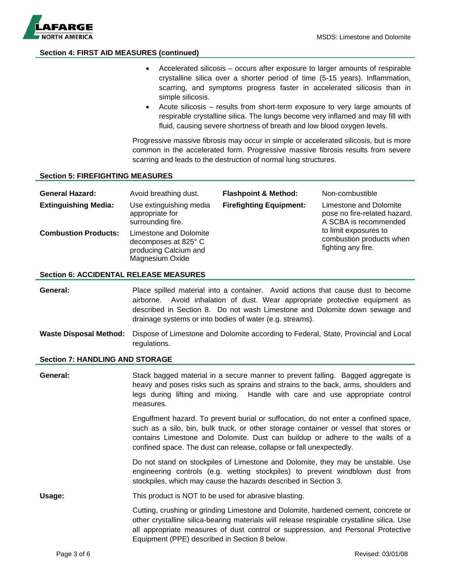

## **Section 4: FIRST AID MEASURES (continued)**

- Accelerated silicosis occurs after exposure to larger amounts of respirable crystalline silica over a shorter period of time (5-15 years). Inflammation, scarring, and symptoms progress faster in accelerated silicosis than in simple silicosis.
- Acute silicosis results from short-term exposure to very large amounts of respirable crystalline silica. The lungs become very inflamed and may fill with fluid, causing severe shortness of breath and low blood oxygen levels.

Progressive massive fibrosis may occur in simple or accelerated silicosis, but is more common in the accelerated form. Progressive massive fibrosis results from severe scarring and leads to the destruction of normal lung structures.

### **Section 5: FIREFIGHTING MEASURES**

| <b>General Hazard:</b><br><b>Extinguishing Media:</b> | Avoid breathing dust.<br>Use extinguishing media<br>appropriate for<br>surrounding fire.   | <b>Flashpoint &amp; Method:</b><br><b>Firefighting Equipment:</b> | Non-combustible<br>Limestone and Dolomite<br>pose no fire-related hazard.<br>A SCBA is recommended |
|-------------------------------------------------------|--------------------------------------------------------------------------------------------|-------------------------------------------------------------------|----------------------------------------------------------------------------------------------------|
| <b>Combustion Products:</b>                           | Limestone and Dolomite<br>decomposes at 825° C<br>producing Calcium and<br>Magnesium Oxide |                                                                   | to limit exposures to<br>combustion products when<br>fighting any fire.                            |

#### **Section 6: ACCIDENTAL RELEASE MEASURES**

**General:** Place spilled material into a container. Avoid actions that cause dust to become airborne. Avoid inhalation of dust. Wear appropriate protective equipment as described in Section 8. Do not wash Limestone and Dolomite down sewage and drainage systems or into bodies of water (e.g. streams).

**Waste Disposal Method:** Dispose of Limestone and Dolomite according to Federal, State, Provincial and Local regulations.

#### **Section 7: HANDLING AND STORAGE**

**General:** Stack bagged material in a secure manner to prevent falling. Bagged aggregate is heavy and poses risks such as sprains and strains to the back, arms, shoulders and legs during lifting and mixing. Handle with care and use appropriate control measures. Engulfment hazard. To prevent burial or suffocation, do not enter a confined space, such as a silo, bin, bulk truck, or other storage container or vessel that stores or contains Limestone and Dolomite. Dust can buildup or adhere to the walls of a confined space. The dust can release, collapse or fall unexpectedly. Do not stand on stockpiles of Limestone and Dolomite, they may be unstable. Use engineering controls (e.g. wetting stockpiles) to prevent windblown dust from stockpiles, which may cause the hazards described in Section 3. **Usage:** This product is NOT to be used for abrasive blasting. Cutting, crushing or grinding Limestone and Dolomite, hardened cement, concrete or other crystalline silica-bearing materials will release respirable crystalline silica. Use all appropriate measures of dust control or suppression, and Personal Protective Equipment (PPE) described in Section 8 below.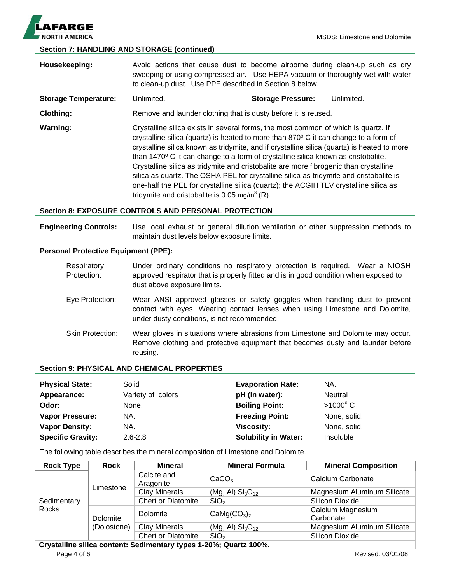

## **Section 7: HANDLING AND STORAGE (continued)**

**Housekeeping:** Avoid actions that cause dust to become airborne during clean-up such as dry sweeping or using compressed air. Use HEPA vacuum or thoroughly wet with water to clean-up dust. Use PPE described in Section 8 below. **Storage Temperature:** Unlimited. **Storage Pressure:** Unlimited. **Clothing:** Remove and launder clothing that is dusty before it is reused. **Warning:** Crystalline silica exists in several forms, the most common of which is quartz. If crystalline silica (quartz) is heated to more than 870º C it can change to a form of crystalline silica known as tridymite, and if crystalline silica (quartz) is heated to more than 1470º C it can change to a form of crystalline silica known as cristobalite. Crystalline silica as tridymite and cristobalite are more fibrogenic than crystalline silica as quartz. The OSHA PEL for crystalline silica as tridymite and cristobalite is one-half the PEL for crystalline silica (quartz); the ACGIH TLV crystalline silica as tridymite and cristobalite is 0.05 mg/m<sup>3</sup> (R).

## **Section 8: EXPOSURE CONTROLS AND PERSONAL PROTECTION**

**Engineering Controls:** Use local exhaust or general dilution ventilation or other suppression methods to maintain dust levels below exposure limits.

### **Personal Protective Equipment (PPE):**

| Respiratory<br>Protection: | Under ordinary conditions no respiratory protection is required. Wear a NIOSH<br>approved respirator that is properly fitted and is in good condition when exposed to<br>dust above exposure limits.      |
|----------------------------|-----------------------------------------------------------------------------------------------------------------------------------------------------------------------------------------------------------|
| Eye Protection:            | Wear ANSI approved glasses or safety goggles when handling dust to prevent<br>contact with eyes. Wearing contact lenses when using Limestone and Dolomite,<br>under dusty conditions, is not recommended. |
| <b>Skin Protection:</b>    | Wear gloves in situations where abrasions from Limestone and Dolomite may occur.<br>Remove clothing and protective equipment that becomes dusty and launder before<br>reusing.                            |

### **Section 9: PHYSICAL AND CHEMICAL PROPERTIES**

| <b>Physical State:</b>   | Solid             | <b>Evaporation Rate:</b>    | NA.               |
|--------------------------|-------------------|-----------------------------|-------------------|
| Appearance:              | Variety of colors | pH (in water):              | Neutral           |
| Odor:                    | None.             | <b>Boiling Point:</b>       | $>1000^{\circ}$ C |
| <b>Vapor Pressure:</b>   | NA.               | <b>Freezing Point:</b>      | None, solid.      |
| <b>Vapor Density:</b>    | NA.               | <b>Viscosity:</b>           | None, solid.      |
| <b>Specific Gravity:</b> | $2.6 - 2.8$       | <b>Solubility in Water:</b> | Insoluble         |

The following table describes the mineral composition of Limestone and Dolomite.

| <b>Rock Type</b>                                                         | <b>Rock</b>             | Mineral                   | <b>Mineral Formula</b>              | <b>Mineral Composition</b>     |  |
|--------------------------------------------------------------------------|-------------------------|---------------------------|-------------------------------------|--------------------------------|--|
| Sedimentary<br>Rocks                                                     | Limestone               | Calcite and<br>Aragonite  | CaCO <sub>3</sub>                   | Calcium Carbonate              |  |
|                                                                          |                         | <b>Clay Minerals</b>      | (Mg, Al) $Si3O12$                   | Magnesium Aluminum Silicate    |  |
|                                                                          |                         | <b>Chert or Diatomite</b> | SiO <sub>2</sub>                    | Silicon Dioxide                |  |
|                                                                          | Dolomite<br>(Dolostone) | Dolomite                  | CaMg(CO <sub>3</sub> ) <sub>2</sub> | Calcium Magnesium<br>Carbonate |  |
|                                                                          |                         | <b>Clay Minerals</b>      | (Mg, Al) $Si3O12$                   | Magnesium Aluminum Silicate    |  |
|                                                                          |                         | <b>Chert or Diatomite</b> | SiO <sub>2</sub>                    | Silicon Dioxide                |  |
| Omistalling allian agents of Oralings of any freezed OON - Occanto 4000/ |                         |                           |                                     |                                |  |

**Crystalline silica content: Sedimentary types 1-20%; Quartz 100%.**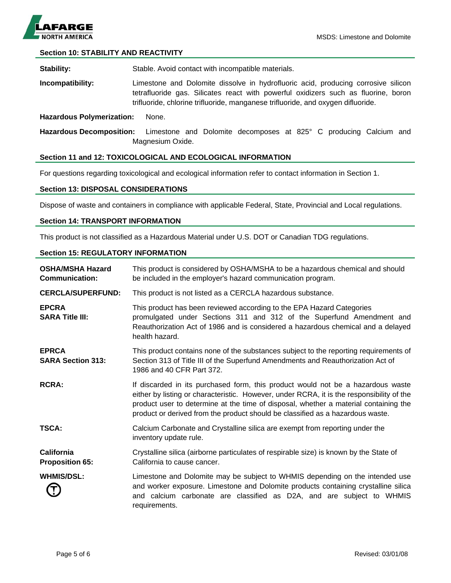

## **Section 10: STABILITY AND REACTIVITY**

**Stability:** Stable. Avoid contact with incompatible materials.

**Incompatibility:** Limestone and Dolomite dissolve in hydrofluoric acid, producing corrosive silicon tetrafluoride gas. Silicates react with powerful oxidizers such as fluorine, boron trifluoride, chlorine trifluoride, manganese trifluoride, and oxygen difluoride.

#### **Hazardous Polymerization:** None.

**Hazardous Decomposition:** Limestone and Dolomite decomposes at 825° C producing Calcium and Magnesium Oxide.

#### **Section 11 and 12: TOXICOLOGICAL AND ECOLOGICAL INFORMATION**

For questions regarding toxicological and ecological information refer to contact information in Section 1.

#### **Section 13: DISPOSAL CONSIDERATIONS**

Dispose of waste and containers in compliance with applicable Federal, State, Provincial and Local regulations.

#### **Section 14: TRANSPORT INFORMATION**

This product is not classified as a Hazardous Material under U.S. DOT or Canadian TDG regulations.

### **Section 15: REGULATORY INFORMATION**

| <b>OSHA/MSHA Hazard</b><br><b>Communication:</b> | This product is considered by OSHA/MSHA to be a hazardous chemical and should<br>be included in the employer's hazard communication program.                                                                                                                                                                                                           |
|--------------------------------------------------|--------------------------------------------------------------------------------------------------------------------------------------------------------------------------------------------------------------------------------------------------------------------------------------------------------------------------------------------------------|
| <b>CERCLA/SUPERFUND:</b>                         | This product is not listed as a CERCLA hazardous substance.                                                                                                                                                                                                                                                                                            |
| <b>EPCRA</b><br><b>SARA Title III:</b>           | This product has been reviewed according to the EPA Hazard Categories<br>promulgated under Sections 311 and 312 of the Superfund Amendment and<br>Reauthorization Act of 1986 and is considered a hazardous chemical and a delayed<br>health hazard.                                                                                                   |
| <b>EPRCA</b><br><b>SARA Section 313:</b>         | This product contains none of the substances subject to the reporting requirements of<br>Section 313 of Title III of the Superfund Amendments and Reauthorization Act of<br>1986 and 40 CFR Part 372.                                                                                                                                                  |
| <b>RCRA:</b>                                     | If discarded in its purchased form, this product would not be a hazardous waste<br>either by listing or characteristic. However, under RCRA, it is the responsibility of the<br>product user to determine at the time of disposal, whether a material containing the<br>product or derived from the product should be classified as a hazardous waste. |
| TSCA:                                            | Calcium Carbonate and Crystalline silica are exempt from reporting under the<br>inventory update rule.                                                                                                                                                                                                                                                 |
| California<br><b>Proposition 65:</b>             | Crystalline silica (airborne particulates of respirable size) is known by the State of<br>California to cause cancer.                                                                                                                                                                                                                                  |
| <b>WHMIS/DSL:</b>                                | Limestone and Dolomite may be subject to WHMIS depending on the intended use<br>and worker exposure. Limestone and Dolomite products containing crystalline silica<br>and calcium carbonate are classified as D2A, and are subject to WHMIS<br>requirements.                                                                                           |